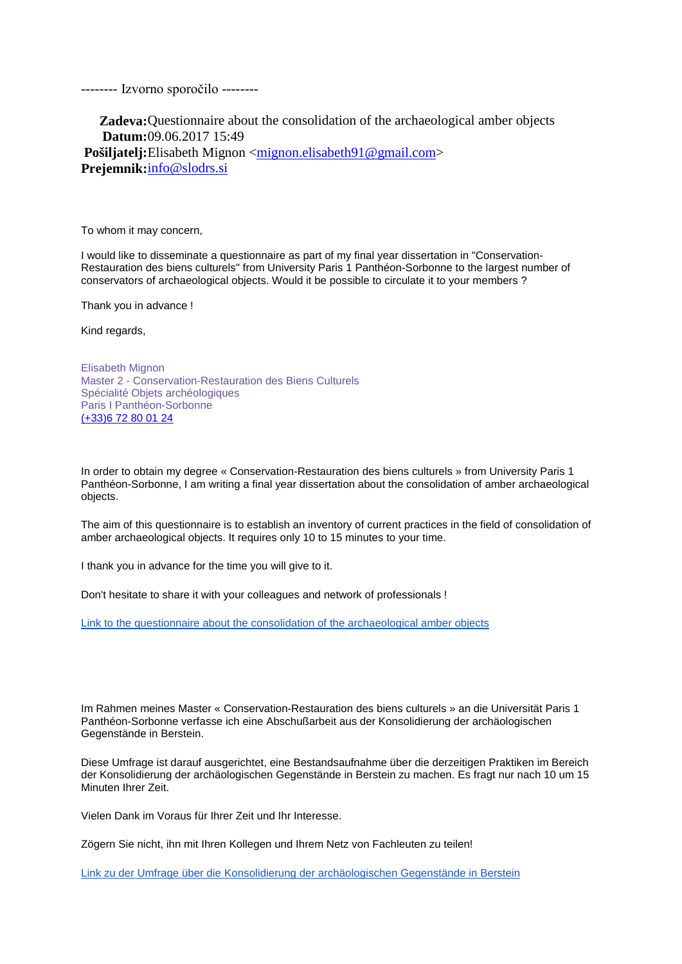-------- Izvorno sporočilo --------

**Zadeva:**Questionnaire about the consolidation of the archaeological amber objects **Datum:**09.06.2017 15:49

**Pošiljatelj:**Elisabeth Mignon [<mignon.elisabeth91@gmail.com>](mailto:mignon.elisabeth91@gmail.com) **Prejemnik:**[info@slodrs.si](mailto:info@slodrs.si)

To whom it may concern,

I would like to disseminate a questionnaire as part of my final year dissertation in "Conservation-Restauration des biens culturels" from University Paris 1 Panthéon-Sorbonne to the largest number of conservators of archaeological objects. Would it be possible to circulate it to your members ?

Thank you in advance !

Kind regards,

Elisabeth Mignon Master 2 - Conservation-Restauration des Biens Culturels Spécialité Objets archéologiques Paris I Panthéon-Sorbonne [\(+33\)6 72 80 01 24](tel:+33%206%2072%2080%2001%2024)

In order to obtain my degree « Conservation-Restauration des biens culturels » from University Paris 1 Panthéon-Sorbonne, I am writing a final year dissertation about the consolidation of amber archaeological objects.

The aim of this questionnaire is to establish an inventory of current practices in the field of consolidation of amber archaeological objects. It requires only 10 to 15 minutes to your time.

I thank you in advance for the time you will give to it.

Don't hesitate to share it with your colleagues and network of professionals !

[Link to the questionnaire about the consolidation of the archaeological amber objects](https://goo.gl/forms/AGa1jrLFafhHzeTC2)

Im Rahmen meines Master « Conservation-Restauration des biens culturels » an die Universität Paris 1 Panthéon-Sorbonne verfasse ich eine Abschußarbeit aus der Konsolidierung der archäologischen Gegenstände in Berstein.

Diese Umfrage ist darauf ausgerichtet, eine Bestandsaufnahme über die derzeitigen Praktiken im Bereich der Konsolidierung der archäologischen Gegenstände in Berstein zu machen. Es fragt nur nach 10 um 15 Minuten Ihrer Zeit.

Vielen Dank im Voraus für Ihrer Zeit und Ihr Interesse.

Zögern Sie nicht, ihn mit Ihren Kollegen und Ihrem Netz von Fachleuten zu teilen!

[Link zu der Umfrage über die Konsolidierung der archäologischen Gegenstände in Berstein](https://goo.gl/forms/2ZZPveXLfYJqaqzI3)